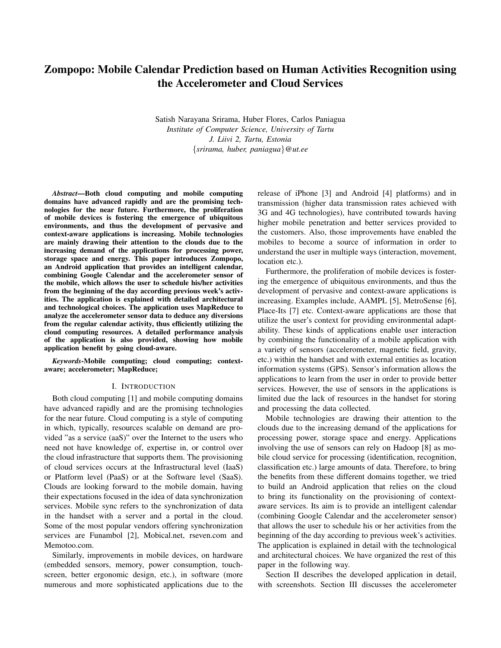# Zompopo: Mobile Calendar Prediction based on Human Activities Recognition using the Accelerometer and Cloud Services

Satish Narayana Srirama, Huber Flores, Carlos Paniagua *Institute of Computer Science, University of Tartu J. Liivi 2, Tartu, Estonia* {*srirama, huber, paniagua*}*@ut.ee*

*Abstract*—Both cloud computing and mobile computing domains have advanced rapidly and are the promising technologies for the near future. Furthermore, the proliferation of mobile devices is fostering the emergence of ubiquitous environments, and thus the development of pervasive and context-aware applications is increasing. Mobile technologies are mainly drawing their attention to the clouds due to the increasing demand of the applications for processing power, storage space and energy. This paper introduces Zompopo, an Android application that provides an intelligent calendar, combining Google Calendar and the accelerometer sensor of the mobile, which allows the user to schedule his/her activities from the beginning of the day according previous week's activities. The application is explained with detailed architectural and technological choices. The application uses MapReduce to analyze the accelerometer sensor data to deduce any diversions from the regular calendar activity, thus efficiently utilizing the cloud computing resources. A detailed performance analysis of the application is also provided, showing how mobile application benefit by going cloud-aware.

*Keywords*-Mobile computing; cloud computing; contextaware; accelerometer; MapReduce;

#### I. INTRODUCTION

Both cloud computing [1] and mobile computing domains have advanced rapidly and are the promising technologies for the near future. Cloud computing is a style of computing in which, typically, resources scalable on demand are provided "as a service (aaS)" over the Internet to the users who need not have knowledge of, expertise in, or control over the cloud infrastructure that supports them. The provisioning of cloud services occurs at the Infrastructural level (IaaS) or Platform level (PaaS) or at the Software level (SaaS). Clouds are looking forward to the mobile domain, having their expectations focused in the idea of data synchronization services. Mobile sync refers to the synchronization of data in the handset with a server and a portal in the cloud. Some of the most popular vendors offering synchronization services are Funambol [2], Mobical.net, rseven.com and Memotoo.com.

Similarly, improvements in mobile devices, on hardware (embedded sensors, memory, power consumption, touchscreen, better ergonomic design, etc.), in software (more numerous and more sophisticated applications due to the release of iPhone [3] and Android [4] platforms) and in transmission (higher data transmission rates achieved with 3G and 4G technologies), have contributed towards having higher mobile penetration and better services provided to the customers. Also, those improvements have enabled the mobiles to become a source of information in order to understand the user in multiple ways (interaction, movement, location etc.).

Furthermore, the proliferation of mobile devices is fostering the emergence of ubiquitous environments, and thus the development of pervasive and context-aware applications is increasing. Examples include, AAMPL [5], MetroSense [6], Place-Its [7] etc. Context-aware applications are those that utilize the user's context for providing environmental adaptability. These kinds of applications enable user interaction by combining the functionality of a mobile application with a variety of sensors (accelerometer, magnetic field, gravity, etc.) within the handset and with external entities as location information systems (GPS). Sensor's information allows the applications to learn from the user in order to provide better services. However, the use of sensors in the applications is limited due the lack of resources in the handset for storing and processing the data collected.

Mobile technologies are drawing their attention to the clouds due to the increasing demand of the applications for processing power, storage space and energy. Applications involving the use of sensors can rely on Hadoop [8] as mobile cloud service for processing (identification, recognition, classification etc.) large amounts of data. Therefore, to bring the benefits from these different domains together, we tried to build an Android application that relies on the cloud to bring its functionality on the provisioning of contextaware services. Its aim is to provide an intelligent calendar (combining Google Calendar and the accelerometer sensor) that allows the user to schedule his or her activities from the beginning of the day according to previous week's activities. The application is explained in detail with the technological and architectural choices. We have organized the rest of this paper in the following way.

Section II describes the developed application in detail, with screenshots. Section III discusses the accelerometer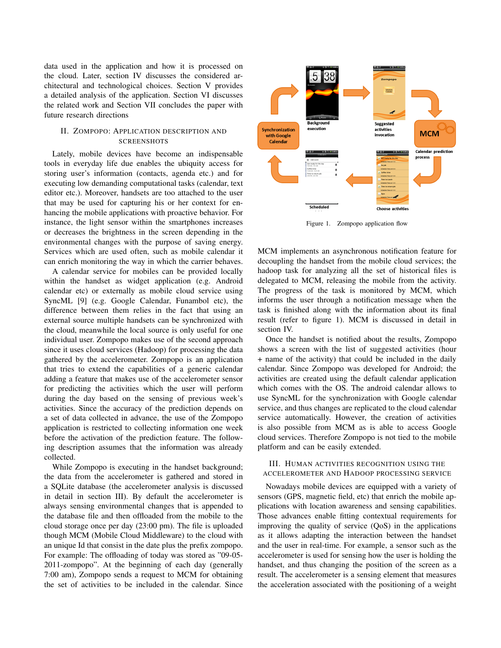data used in the application and how it is processed on the cloud. Later, section IV discusses the considered architectural and technological choices. Section V provides a detailed analysis of the application. Section VI discusses the related work and Section VII concludes the paper with future research directions

# II. ZOMPOPO: APPLICATION DESCRIPTION AND **SCREENSHOTS**

Lately, mobile devices have become an indispensable tools in everyday life due enables the ubiquity access for storing user's information (contacts, agenda etc.) and for executing low demanding computational tasks (calendar, text editor etc.). Moreover, handsets are too attached to the user that may be used for capturing his or her context for enhancing the mobile applications with proactive behavior. For instance, the light sensor within the smartphones increases or decreases the brightness in the screen depending in the environmental changes with the purpose of saving energy. Services which are used often, such as mobile calendar it can enrich monitoring the way in which the carrier behaves.

A calendar service for mobiles can be provided locally within the handset as widget application (e.g. Android calendar etc) or externally as mobile cloud service using SyncML [9] (e.g. Google Calendar, Funambol etc), the difference between them relies in the fact that using an external source multiple handsets can be synchronized with the cloud, meanwhile the local source is only useful for one individual user. Zompopo makes use of the second approach since it uses cloud services (Hadoop) for processing the data gathered by the accelerometer. Zompopo is an application that tries to extend the capabilities of a generic calendar adding a feature that makes use of the accelerometer sensor for predicting the activities which the user will perform during the day based on the sensing of previous week's activities. Since the accuracy of the prediction depends on a set of data collected in advance, the use of the Zompopo application is restricted to collecting information one week before the activation of the prediction feature. The following description assumes that the information was already collected.

While Zompopo is executing in the handset background; the data from the accelerometer is gathered and stored in a SQLite database (the accelerometer analysis is discussed in detail in section III). By default the accelerometer is always sensing environmental changes that is appended to the database file and then offloaded from the mobile to the cloud storage once per day (23:00 pm). The file is uploaded though MCM (Mobile Cloud Middleware) to the cloud with an unique Id that consist in the date plus the prefix zompopo. For example: The offloading of today was stored as "09-05- 2011-zompopo". At the beginning of each day (generally 7:00 am), Zompopo sends a request to MCM for obtaining the set of activities to be included in the calendar. Since



Figure 1. Zompopo application flow

MCM implements an asynchronous notification feature for decoupling the handset from the mobile cloud services; the hadoop task for analyzing all the set of historical files is delegated to MCM, releasing the mobile from the activity. The progress of the task is monitored by MCM, which informs the user through a notification message when the task is finished along with the information about its final result (refer to figure 1). MCM is discussed in detail in section IV.

Once the handset is notified about the results, Zompopo shows a screen with the list of suggested activities (hour + name of the activity) that could be included in the daily calendar. Since Zompopo was developed for Android; the activities are created using the default calendar application which comes with the OS. The android calendar allows to use SyncML for the synchronization with Google calendar service, and thus changes are replicated to the cloud calendar service automatically. However, the creation of activities is also possible from MCM as is able to access Google cloud services. Therefore Zompopo is not tied to the mobile platform and can be easily extended.

# III. HUMAN ACTIVITIES RECOGNITION USING THE ACCELEROMETER AND HADOOP PROCESSING SERVICE

Nowadays mobile devices are equipped with a variety of sensors (GPS, magnetic field, etc) that enrich the mobile applications with location awareness and sensing capabilities. Those advances enable fitting contextual requirements for improving the quality of service (QoS) in the applications as it allows adapting the interaction between the handset and the user in real-time. For example, a sensor such as the accelerometer is used for sensing how the user is holding the handset, and thus changing the position of the screen as a result. The accelerometer is a sensing element that measures the acceleration associated with the positioning of a weight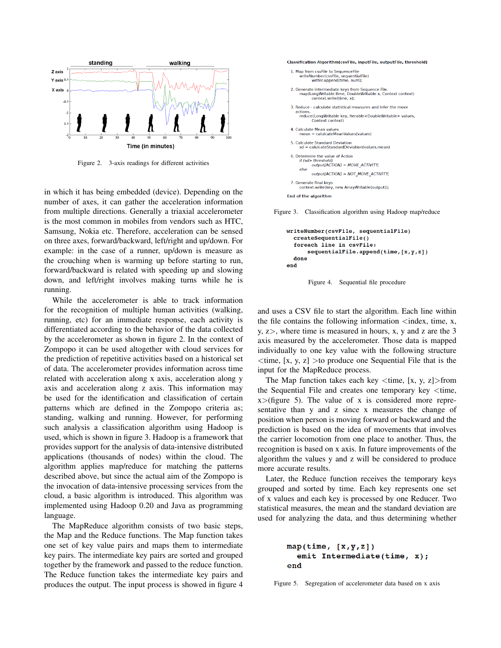

Figure 2. 3-axis readings for different activities

in which it has being embedded (device). Depending on the number of axes, it can gather the acceleration information from multiple directions. Generally a triaxial accelerometer is the most common in mobiles from vendors such as HTC, Samsung, Nokia etc. Therefore, acceleration can be sensed on three axes, forward/backward, left/right and up/down. For example: in the case of a runner, up/down is measure as the crouching when is warming up before starting to run, forward/backward is related with speeding up and slowing down, and left/right involves making turns while he is running.

While the accelerometer is able to track information for the recognition of multiple human activities (walking, running, etc) for an immediate response, each activity is differentiated according to the behavior of the data collected by the accelerometer as shown in figure 2. In the context of Zompopo it can be used altogether with cloud services for the prediction of repetitive activities based on a historical set of data. The accelerometer provides information across time related with acceleration along x axis, acceleration along y axis and acceleration along z axis. This information may be used for the identification and classification of certain patterns which are defined in the Zompopo criteria as; standing, walking and running. However, for performing such analysis a classification algorithm using Hadoop is used, which is shown in figure 3. Hadoop is a framework that provides support for the analysis of data-intensive distributed applications (thousands of nodes) within the cloud. The algorithm applies map/reduce for matching the patterns described above, but since the actual aim of the Zompopo is the invocation of data-intensive processing services from the cloud, a basic algorithm is introduced. This algorithm was implemented using Hadoop 0.20 and Java as programming language.

The MapReduce algorithm consists of two basic steps, the Map and the Reduce functions. The Map function takes one set of key value pairs and maps them to intermediate key pairs. The intermediate key pairs are sorted and grouped together by the framework and passed to the reduce function. The Reduce function takes the intermediate key pairs and produces the output. The input process is showed in figure 4



End of the algorithm

Figure 3. Classification algorithm using Hadoop map/reduce

```
writeNumber(csvFile, sequentialFile)
  createSequentialFile()
  foreach line in csvFile:
      sequentialFile.append(time, [x, y, z])done
end
```


and uses a CSV file to start the algorithm. Each line within the file contains the following information  $\langle$  index, time, x,  $y, z$ , where time is measured in hours, x, y and z are the 3 axis measured by the accelerometer. Those data is mapped individually to one key value with the following structure  $\lt$ time, [x, y, z]  $>$ to produce one Sequential File that is the input for the MapReduce process.

The Map function takes each key  $\langle$  time, [x, y, z] $>$ from the Sequential File and creates one temporary key  $\lt$ time,  $x$  > (figure 5). The value of x is considered more representative than y and z since x measures the change of position when person is moving forward or backward and the prediction is based on the idea of movements that involves the carrier locomotion from one place to another. Thus, the recognition is based on x axis. In future improvements of the algorithm the values y and z will be considered to produce more accurate results.

Later, the Reduce function receives the temporary keys grouped and sorted by time. Each key represents one set of x values and each key is processed by one Reducer. Two statistical measures, the mean and the standard deviation are used for analyzing the data, and thus determining whether

# $map(time, [x, y, z])$ emit Intermediate(time, x); end

Figure 5. Segregation of accelerometer data based on x axis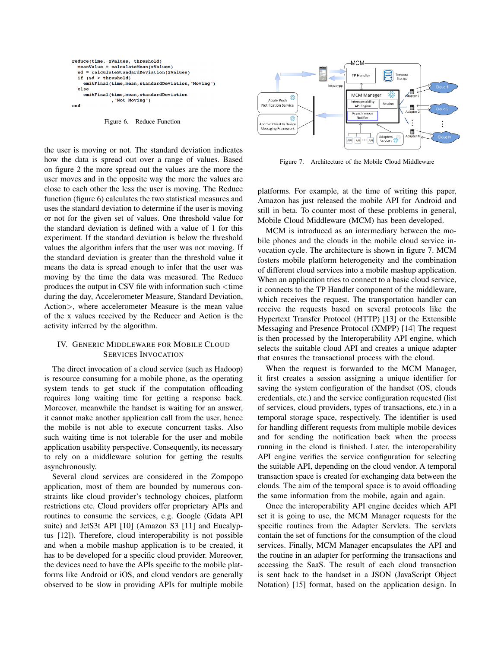```
reduce(time, xValues, threshold)
 meanValue = calculateMean(xValues)sd = calculateStandardDeviation(xValues)
  if (sd > threshold)emitFinal(time.mean.standardDeviation."Moving")
  else
    emitFinal(time.mean.standardDeviation
              , "Not Moving")
end
```
Figure 6. Reduce Function

the user is moving or not. The standard deviation indicates how the data is spread out over a range of values. Based on figure 2 the more spread out the values are the more the user moves and in the opposite way the more the values are close to each other the less the user is moving. The Reduce function (figure 6) calculates the two statistical measures and uses the standard deviation to determine if the user is moving or not for the given set of values. One threshold value for the standard deviation is defined with a value of 1 for this experiment. If the standard deviation is below the threshold values the algorithm infers that the user was not moving. If the standard deviation is greater than the threshold value it means the data is spread enough to infer that the user was moving by the time the data was measured. The Reduce produces the output in CSV file with information such <time during the day, Accelerometer Measure, Standard Deviation, Action>, where accelerometer Measure is the mean value of the x values received by the Reducer and Action is the activity inferred by the algorithm.

# IV. GENERIC MIDDLEWARE FOR MOBILE CLOUD SERVICES INVOCATION

The direct invocation of a cloud service (such as Hadoop) is resource consuming for a mobile phone, as the operating system tends to get stuck if the computation offloading requires long waiting time for getting a response back. Moreover, meanwhile the handset is waiting for an answer, it cannot make another application call from the user, hence the mobile is not able to execute concurrent tasks. Also such waiting time is not tolerable for the user and mobile application usability perspective. Consequently, its necessary to rely on a middleware solution for getting the results asynchronously.

Several cloud services are considered in the Zompopo application, most of them are bounded by numerous constraints like cloud provider's technology choices, platform restrictions etc. Cloud providers offer proprietary APIs and routines to consume the services, e.g. Google (Gdata API suite) and JetS3t API [10] (Amazon S3 [11] and Eucalyptus [12]). Therefore, cloud interoperability is not possible and when a mobile mashup application is to be created, it has to be developed for a specific cloud provider. Moreover, the devices need to have the APIs specific to the mobile platforms like Android or iOS, and cloud vendors are generally observed to be slow in providing APIs for multiple mobile



Figure 7. Architecture of the Mobile Cloud Middleware

platforms. For example, at the time of writing this paper, Amazon has just released the mobile API for Android and still in beta. To counter most of these problems in general, Mobile Cloud Middleware (MCM) has been developed.

MCM is introduced as an intermediary between the mobile phones and the clouds in the mobile cloud service invocation cycle. The architecture is shown in figure 7. MCM fosters mobile platform heterogeneity and the combination of different cloud services into a mobile mashup application. When an application tries to connect to a basic cloud service, it connects to the TP Handler component of the middleware, which receives the request. The transportation handler can receive the requests based on several protocols like the Hypertext Transfer Protocol (HTTP) [13] or the Extensible Messaging and Presence Protocol (XMPP) [14] The request is then processed by the Interoperability API engine, which selects the suitable cloud API and creates a unique adapter that ensures the transactional process with the cloud.

When the request is forwarded to the MCM Manager, it first creates a session assigning a unique identifier for saving the system configuration of the handset (OS, clouds credentials, etc.) and the service configuration requested (list of services, cloud providers, types of transactions, etc.) in a temporal storage space, respectively. The identifier is used for handling different requests from multiple mobile devices and for sending the notification back when the process running in the cloud is finished. Later, the interoperability API engine verifies the service configuration for selecting the suitable API, depending on the cloud vendor. A temporal transaction space is created for exchanging data between the clouds. The aim of the temporal space is to avoid offloading the same information from the mobile, again and again.

Once the interoperability API engine decides which API set it is going to use, the MCM Manager requests for the specific routines from the Adapter Servlets. The servlets contain the set of functions for the consumption of the cloud services. Finally, MCM Manager encapsulates the API and the routine in an adapter for performing the transactions and accessing the SaaS. The result of each cloud transaction is sent back to the handset in a JSON (JavaScript Object Notation) [15] format, based on the application design. In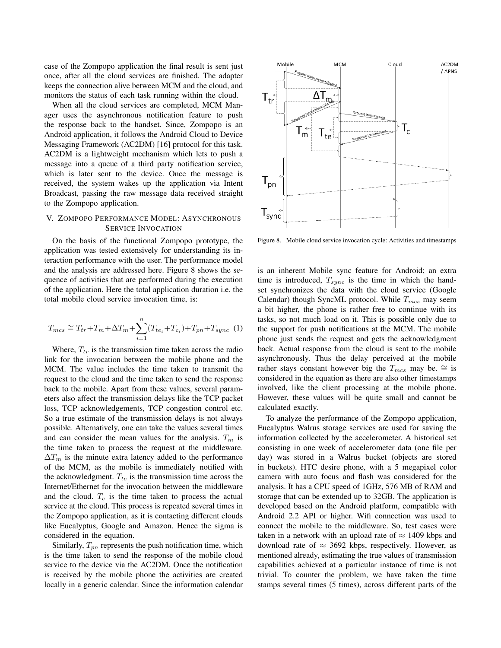case of the Zompopo application the final result is sent just once, after all the cloud services are finished. The adapter keeps the connection alive between MCM and the cloud, and monitors the status of each task running within the cloud.

When all the cloud services are completed, MCM Manager uses the asynchronous notification feature to push the response back to the handset. Since, Zompopo is an Android application, it follows the Android Cloud to Device Messaging Framework (AC2DM) [16] protocol for this task. AC2DM is a lightweight mechanism which lets to push a message into a queue of a third party notification service, which is later sent to the device. Once the message is received, the system wakes up the application via Intent Broadcast, passing the raw message data received straight to the Zompopo application.

# V. ZOMPOPO PERFORMANCE MODEL: ASYNCHRONOUS SERVICE INVOCATION

On the basis of the functional Zompopo prototype, the application was tested extensively for understanding its interaction performance with the user. The performance model and the analysis are addressed here. Figure 8 shows the sequence of activities that are performed during the execution of the application. Here the total application duration i.e. the total mobile cloud service invocation time, is:

$$
T_{mcs} \cong T_{tr} + T_m + \Delta T_m + \sum_{i=1}^{n} (T_{te_i} + T_{c_i}) + T_{pn} + T_{sync} \tag{1}
$$

Where,  $T_{tr}$  is the transmission time taken across the radio link for the invocation between the mobile phone and the MCM. The value includes the time taken to transmit the request to the cloud and the time taken to send the response back to the mobile. Apart from these values, several parameters also affect the transmission delays like the TCP packet loss, TCP acknowledgements, TCP congestion control etc. So a true estimate of the transmission delays is not always possible. Alternatively, one can take the values several times and can consider the mean values for the analysis.  $T_m$  is the time taken to process the request at the middleware.  $\Delta T_m$  is the minute extra latency added to the performance of the MCM, as the mobile is immediately notified with the acknowledgment.  $T_{te}$  is the transmission time across the Internet/Ethernet for the invocation between the middleware and the cloud.  $T_c$  is the time taken to process the actual service at the cloud. This process is repeated several times in the Zompopo application, as it is contacting different clouds like Eucalyptus, Google and Amazon. Hence the sigma is considered in the equation.

Similarly,  $T_{pn}$  represents the push notification time, which is the time taken to send the response of the mobile cloud service to the device via the AC2DM. Once the notification is received by the mobile phone the activities are created locally in a generic calendar. Since the information calendar



Figure 8. Mobile cloud service invocation cycle: Activities and timestamps

is an inherent Mobile sync feature for Android; an extra time is introduced,  $T_{sync}$  is the time in which the handset synchronizes the data with the cloud service (Google Calendar) though SyncML protocol. While  $T_{mcs}$  may seem a bit higher, the phone is rather free to continue with its tasks, so not much load on it. This is possible only due to the support for push notifications at the MCM. The mobile phone just sends the request and gets the acknowledgment back. Actual response from the cloud is sent to the mobile asynchronously. Thus the delay perceived at the mobile rather stays constant however big the  $T_{mcs}$  may be. ≅ is considered in the equation as there are also other timestamps involved, like the client processing at the mobile phone. However, these values will be quite small and cannot be calculated exactly.

To analyze the performance of the Zompopo application, Eucalyptus Walrus storage services are used for saving the information collected by the accelerometer. A historical set consisting in one week of accelerometer data (one file per day) was stored in a Walrus bucket (objects are stored in buckets). HTC desire phone, with a 5 megapixel color camera with auto focus and flash was considered for the analysis. It has a CPU speed of 1GHz, 576 MB of RAM and storage that can be extended up to 32GB. The application is developed based on the Android platform, compatible with Android 2.2 API or higher. Wifi connection was used to connect the mobile to the middleware. So, test cases were taken in a network with an upload rate of  $\approx 1409$  kbps and download rate of  $\approx$  3692 kbps, respectively. However, as mentioned already, estimating the true values of transmission capabilities achieved at a particular instance of time is not trivial. To counter the problem, we have taken the time stamps several times (5 times), across different parts of the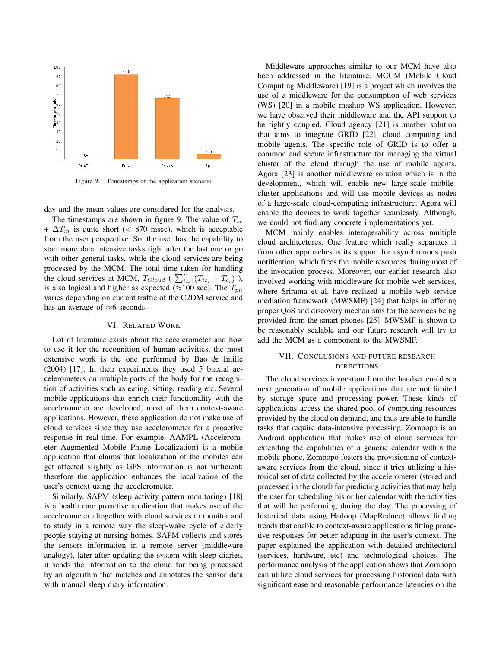

Figure 9. Timestamps of the application scenario

day and the mean values are considered for the analysis.

The timestamps are shown in figure 9. The value of  $T_{tr}$ +  $\Delta T_m$  is quite short (< 870 msec), which is acceptable from the user perspective. So, the user has the capability to start more data intensive tasks right after the last one or go with other general tasks, while the cloud services are being processed by the MCM. The total time taken for handling the cloud services at MCM,  $T_{Cloud}$  (  $\sum_{i=1}^{n} (T_{te_i} + T_{c_i})$  ), is also logical and higher as expected ( $\approx$ 100 sec). The  $T_{pn}$ varies depending on current traffic of the C2DM service and has an average of  $\approx$ 6 seconds.

### VI. RELATED WORK

Lot of literature exists about the accelerometer and how to use it for the recognition of human activities, the most extensive work is the one performed by Bao & Intille (2004) [17]. In their experiments they used 5 biaxial accelerometers on multiple parts of the body for the recognition of activities such as eating, sitting, reading etc. Several mobile applications that enrich their functionality with the accelerometer are developed, most of them context-aware applications. However, these application do not make use of cloud services since they use accelerometer for a proactive response in real-time. For example, AAMPL (Accelerometer Augmented Mobile Phone Localization) is a mobile application that claims that localization of the mobiles can get affected slightly as GPS information is not sufficient; therefore the application enhances the localization of the user's context using the accelerometer.

Similarly, SAPM (sleep activity pattern monitoring) [18] is a health care proactive application that makes use of the accelerometer altogether with cloud services to monitor and to study in a remote way the sleep-wake cycle of elderly people staying at nursing homes. SAPM collects and stores the sensors information in a remote server (middleware analogy), later after updating the system with sleep diaries, it sends the information to the cloud for being processed by an algorithm that matches and annotates the sensor data with manual sleep diary information.

Middleware approaches similar to our MCM have also been addressed in the literature. MCCM (Mobile Cloud Computing Middleware) [19] is a project which involves the use of a middleware for the consumption of web services (WS) [20] in a mobile mashup WS application. However, we have observed their middleware and the API support to be tightly coupled. Cloud agency [21] is another solution that aims to integrate GRID [22], cloud computing and mobile agents. The specific role of GRID is to offer a common and secure infrastructure for managing the virtual cluster of the cloud through the use of mobile agents. Agora [23] is another middleware solution which is in the development, which will enable new large-scale mobilecluster applications and will use mobile devices as nodes of a large-scale cloud-computing infrastructure. Agora will enable the devices to work together seamlessly. Although, we could not find any concrete implementations yet.

MCM mainly enables interoperability across multiple cloud architectures. One feature which really separates it from other approaches is its support for asynchronous push notification, which frees the mobile resources during most of the invocation process. Moreover, our earlier research also involved working with middleware for mobile web services, where Srirama et al. have realized a mobile web service mediation framework (MWSMF) [24] that helps in offering proper QoS and discovery mechanisms for the services being provided from the smart phones [25]. MWSMF is shown to be reasonably scalable and our future research will try to add the MCM as a component to the MWSMF.

# VII. CONCLUSIONS AND FUTURE RESEARCH DIRECTIONS

The cloud services invocation from the handset enables a next generation of mobile applications that are not limited by storage space and processing power. These kinds of applications access the shared pool of computing resources provided by the cloud on demand, and thus are able to handle tasks that require data-intensive processing. Zompopo is an Android application that makes use of cloud services for extending the capabilities of a generic calendar within the mobile phone. Zompopo fosters the provisioning of contextaware services from the cloud, since it tries utilizing a historical set of data collected by the accelerometer (stored and processed in the cloud) for predicting activities that may help the user for scheduling his or her calendar with the activities that will be performing during the day. The processing of historical data using Hadoop (MapReduce) allows finding trends that enable to context-aware applications fitting proactive responses for better adapting in the user's context. The paper explained the application with detailed architectural (services, hardware, etc) and technological choices. The performance analysis of the application shows that Zompopo can utilize cloud services for processing historical data with significant ease and reasonable performance latencies on the